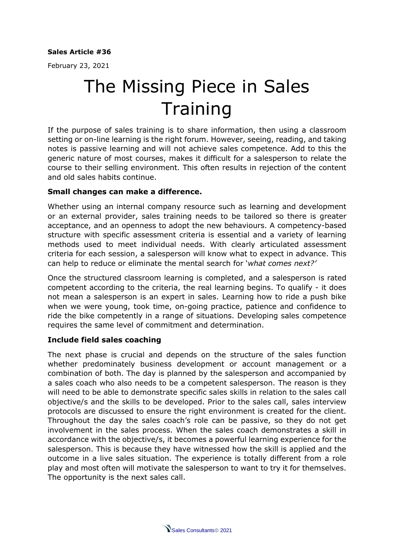#### **Sales Article #36**

February 23, 2021

# The Missing Piece in Sales **Training**

If the purpose of sales training is to share information, then using a classroom setting or on-line learning is the right forum. However, seeing, reading, and taking notes is passive learning and will not achieve sales competence. Add to this the generic nature of most courses, makes it difficult for a salesperson to relate the course to their selling environment. This often results in rejection of the content and old sales habits continue.

#### **Small changes can make a difference.**

Whether using an internal company resource such as learning and development or an external provider, sales training needs to be tailored so there is greater acceptance, and an openness to adopt the new behaviours. A competency-based structure with specific assessment criteria is essential and a variety of learning methods used to meet individual needs. With clearly articulated assessment criteria for each session, a salesperson will know what to expect in advance. This can help to reduce or eliminate the mental search for '*what comes next?'*

Once the structured classroom learning is completed, and a salesperson is rated competent according to the criteria, the real learning begins. To qualify - it does not mean a salesperson is an expert in sales. Learning how to ride a push bike when we were young, took time, on-going practice, patience and confidence to ride the bike competently in a range of situations. Developing sales competence requires the same level of commitment and determination.

### **Include field sales coaching**

The next phase is crucial and depends on the structure of the sales function whether predominately business development or account management or a combination of both. The day is planned by the salesperson and accompanied by a sales coach who also needs to be a competent salesperson. The reason is they will need to be able to demonstrate specific sales skills in relation to the sales call objective/s and the skills to be developed. Prior to the sales call, sales interview protocols are discussed to ensure the right environment is created for the client. Throughout the day the sales coach's role can be passive, so they do not get involvement in the sales process. When the sales coach demonstrates a skill in accordance with the objective/s, it becomes a powerful learning experience for the salesperson. This is because they have witnessed how the skill is applied and the outcome in a live sales situation. The experience is totally different from a role play and most often will motivate the salesperson to want to try it for themselves. The opportunity is the next sales call.